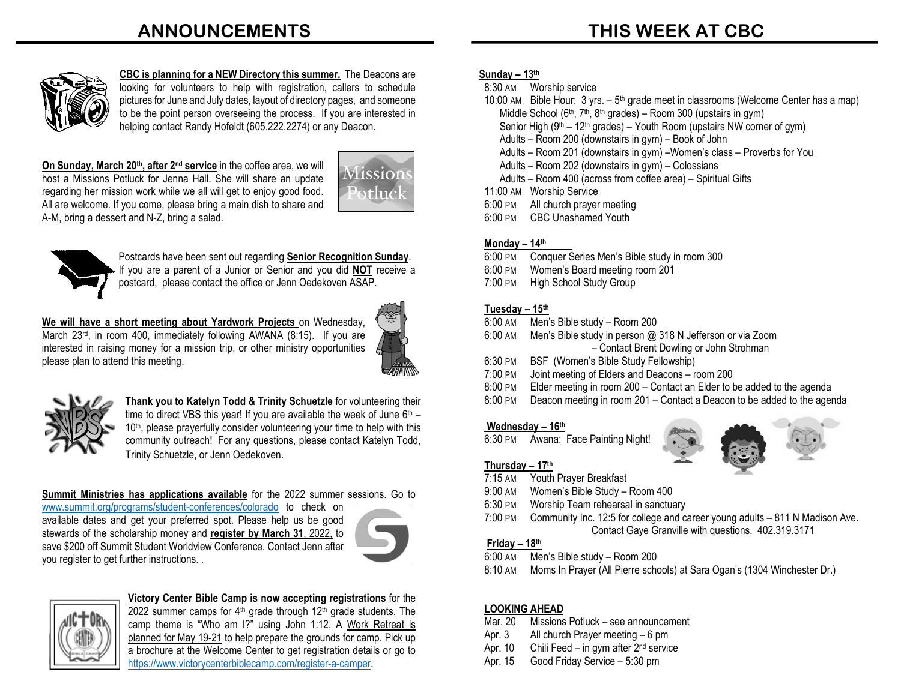# **ANNOUNCEMENTS**



**CBC is planning for a NEW Directory this summer.** The Deacons are looking for volunteers to help with registration, callers to schedule pictures for June and July dates, layout of directory pages, and someone to be the point person overseeing the process. If you are interested in helping contact Randy Hofeldt (605.222.2274) or any Deacon.

**On Sunday, March 20th, after 2nd service** in the coffee area, we will host a Missions Potluck for Jenna Hall. She will share an update regarding her mission work while we all will get to enjoy good food. All are welcome. If you come, please bring a main dish to share and A-M, bring a dessert and N-Z, bring a salad.





Postcards have been sent out regarding **Senior Recognition Sunday**. If you are a parent of a Junior or Senior and you did **NOT** receive a

postcard, please contact the office or Jenn Oedekoven ASAP.

**We will have a short meeting about Yardwork Projects** on Wednesday, March 23<sup>rd</sup>, in room 400, immediately following AWANA (8:15). If you are interested in raising money for a mission trip, or other ministry opportunities please plan to attend this meeting.





**Thank you to Katelyn Todd & Trinity Schuetzle** for volunteering their time to direct VBS this year! If you are available the week of June  $6<sup>th</sup>$  – 10<sup>th</sup>, please prayerfully consider volunteering your time to help with this community outreach! For any questions, please contact Katelyn Todd, Trinity Schuetzle, or Jenn Oedekoven.

**Summit Ministries has applications available** for the 2022 summer sessions. Go to

[www.summit.org/programs/student-conferences/colorado](http://www.summit.org/programs/student-conferences/colorado) to check on available dates and get your preferred spot. Please help us be good stewards of the scholarship money and **register by March 31**, 2022, to save \$200 off Summit Student Worldview Conference. Contact Jenn after you register to get further instructions. .





### **Victory Center Bible Camp is now accepting registrations** for the

2022 summer camps for  $4<sup>th</sup>$  grade through 12<sup>th</sup> grade students. The camp theme is "Who am I?" using John 1:12. A Work Retreat is planned for May 19-21 to help prepare the grounds for camp. Pick up a brochure at the Welcome Center to get registration details or go to [https://www.victorycenterbiblecamp.com/register-a-camper.](https://www.victorycenterbiblecamp.com/register-a-camper)

### **Sunday – 13th**

8:30 AM Worship service

| 10:00 AM Bible Hour: 3 yrs. $-5$ <sup>th</sup> grade meet in classrooms (Welcome Center has a map) |
|----------------------------------------------------------------------------------------------------|
| Middle School ( $6th$ , $7th$ , $8th$ grades) – Room 300 (upstairs in gym)                         |
| Senior High $(9th - 12th$ grades) – Youth Room (upstairs NW corner of gym)                         |
| Adults - Room 200 (downstairs in gym) - Book of John                                               |
| Adults - Room 201 (downstairs in gym) -Women's class - Proverbs for You                            |
| Adults - Room 202 (downstairs in gym) - Colossians                                                 |
| Adults – Room 400 (across from coffee area) – Spiritual Gifts                                      |
| 11:00 AM Worship Service                                                                           |
| 6:00 PM All church prayer meeting                                                                  |
| 6:00 PM<br><b>CBC Unashamed Youth</b>                                                              |

#### **Monday – 14th .**

- 6:00 PM Conquer Series Men's Bible study in room 300
- 6:00 PM Women's Board meeting room 201<br>7:00 PM High School Study Group
- High School Study Group

### **Tuesday – 15th**

- 6:00 AM Men's Bible study Room 200
- 6:00 AM Men's Bible study in person @ 318 N Jefferson or via Zoom – Contact Brent Dowling or John Strohman
- 6:30 PM BSF (Women's Bible Study Fellowship)
- 7:00 PM Joint meeting of Elders and Deacons room 200
- 8:00 PM Elder meeting in room 200 Contact an Elder to be added to the agenda
- 8:00 PM Deacon meeting in room 201 Contact a Deacon to be added to the agenda

### **Wednesday – 16th**

6:30 PM Awana: Face Painting Night!





- 7:15 AM Youth Prayer Breakfast
- 9:00 AM Women's Bible Study Room 400
- 6:30 PM Worship Team rehearsal in sanctuary
- 7:00 PM Community Inc. 12:5 for college and career young adults 811 N Madison Ave. Contact Gaye Granville with questions. 402.319.3171

### **Friday – 18th**

- 6:00 AM Men's Bible study Room 200
- 8:10 AM Moms In Prayer (All Pierre schools) at Sara Ogan's (1304 Winchester Dr.)

### **LOOKING AHEAD**

- Mar. 20 Missions Potluck see announcement
- Apr. 3 All church Prayer meeting 6 pm
- Apr. 10 Chili Feed in gym after  $2<sup>nd</sup>$  service
- Apr. 15 Good Friday Service 5:30 pm

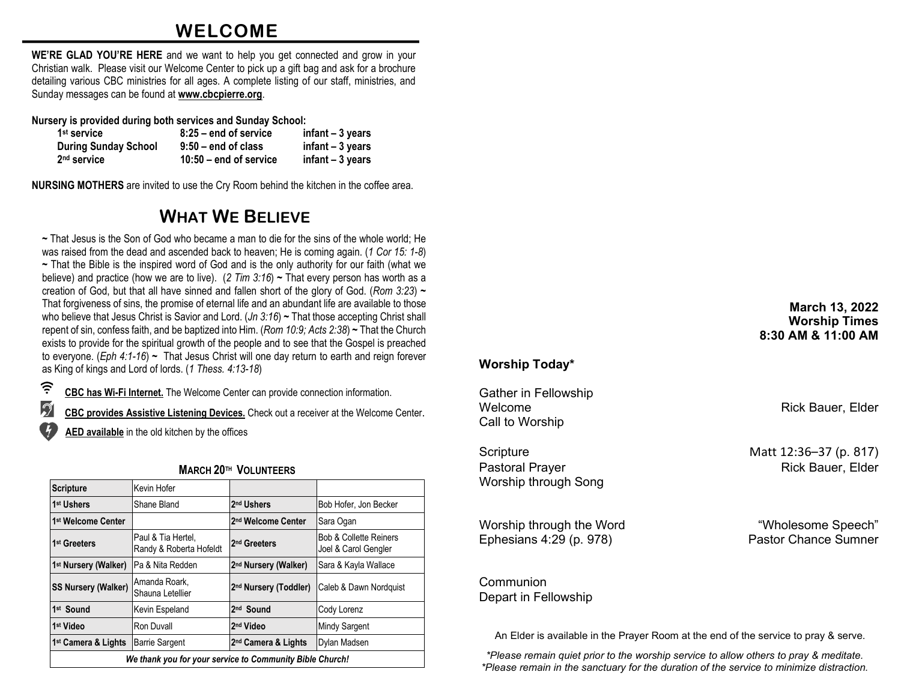# **WELCOME**

**WE'RE GLAD YOU'RE HERE** and we want to help you get connected and grow in your Christian walk. Please visit our Welcome Center to pick up a gift bag and ask for a brochure detailing various CBC ministries for all ages. A complete listing of our staff, ministries, and Sunday messages can be found at **[www.cbcpierre.org](http://www.cbcpierre.org/)**.

**Nursery is provided during both services and Sunday School:**

| 1 <sup>st</sup> service     | $8:25$ – end of service  | $infant - 3 years$ |
|-----------------------------|--------------------------|--------------------|
| <b>During Sunday School</b> | $9:50 -$ end of class    | infant $-3$ years  |
| 2 <sup>nd</sup> service     | $10:50 -$ end of service | $infant - 3 years$ |

**NURSING MOTHERS** are invited to use the Cry Room behind the kitchen in the coffee area.

# **WHAT WE BELIEVE**

**~** That Jesus is the Son of God who became a man to die for the sins of the whole world; He was raised from the dead and ascended back to heaven; He is coming again. (*1 Cor 15: 1-8*) **~** That the Bible is the inspired word of God and is the only authority for our faith (what we believe) and practice (how we are to live). (*2 Tim 3:16*) **~** That every person has worth as a creation of God, but that all have sinned and fallen short of the glory of God. (*Rom 3:23*) **~** That forgiveness of sins, the promise of eternal life and an abundant life are available to those who believe that Jesus Christ is Savior and Lord. (*Jn 3:16*) **~** That those accepting Christ shall repent of sin, confess faith, and be baptized into Him. (*Rom 10:9; Acts 2:38*) **~** That the Church exists to provide for the spiritual growth of the people and to see that the Gospel is preached to everyone. (*Eph 4:1-16*) **~** That Jesus Christ will one day return to earth and reign forever as King of kings and Lord of lords. (*1 Thess. 4:13-18*)

(? **CBC has Wi-Fi Internet.** The Welcome Center can provide connection information.

 $\mathcal{D}$ **CBC provides Assistive Listening Devices.** Check out a receiver at the Welcome Center.

**AED available** in the old kitchen by the offices

| <b>IVIARUM ZU''' VULUNIEERS</b>                          |                                               |                                   |                                                           |  |
|----------------------------------------------------------|-----------------------------------------------|-----------------------------------|-----------------------------------------------------------|--|
| <b>Scripture</b>                                         | Kevin Hofer                                   |                                   |                                                           |  |
| 1 <sup>st</sup> Ushers                                   | Shane Bland                                   | 2 <sup>nd</sup> Ushers            | Bob Hofer, Jon Becker                                     |  |
| 1 <sup>st</sup> Welcome Center                           |                                               | 2 <sup>nd</sup> Welcome Center    | Sara Ogan                                                 |  |
| 1 <sup>st</sup> Greeters                                 | Paul & Tia Hertel.<br>Randy & Roberta Hofeldt | 2 <sup>nd</sup> Greeters          | <b>Bob &amp; Collette Reiners</b><br>Joel & Carol Gengler |  |
| 1 <sup>st</sup> Nursery (Walker)                         | Pa & Nita Redden                              | 2 <sup>nd</sup> Nursery (Walker)  | Sara & Kayla Wallace                                      |  |
| <b>SS Nursery (Walker)</b>                               | Amanda Roark,<br>Shauna Letellier             | 2 <sup>nd</sup> Nursery (Toddler) | Caleb & Dawn Nordquist                                    |  |
| 1st Sound                                                | Kevin Espeland                                | 2 <sup>nd</sup> Sound             | Cody Lorenz                                               |  |
| 1 <sup>st</sup> Video                                    | Ron Duvall                                    | 2 <sup>nd</sup> Video             | <b>Mindy Sargent</b>                                      |  |
| 1 <sup>st</sup> Camera & Lights                          | <b>Barrie Sargent</b>                         | 2 <sup>nd</sup> Camera & Lights   | Dylan Madsen                                              |  |
| We thank you for your service to Community Bible Church! |                                               |                                   |                                                           |  |

### **MARCH 20TH VOLUNTEERS**

## **Worship Today\***

Gather in Fellowship Welcome **Rick Bauer**, Elder Call to Worship

Scripture Matt 12:36–37 (p. 817) Pastoral Prayer **Rick Bauer**, Elder Worship through Song

Worship through the Word **With Constant Constant Constant Constant Constant Constant Constant Constant Constant Constant Constant Constant Constant Constant Constant Constant Constant Constant Constant Constant Constant Co** Ephesians 4:29 (p. 978) Pastor Chance Sumner

Depart in Fellowship

**March 13, 2022 Worship Times 8:30 AM & 11:00 AM**

Communion

An Elder is available in the Prayer Room at the end of the service to pray & serve.

*\*Please remain quiet prior to the worship service to allow others to pray & meditate. \*Please remain in the sanctuary for the duration of the service to minimize distraction.*